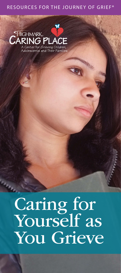#### RESOURCES FOR THE JOURNEY OF GRIEF®



# Caring for Yourself as You Grieve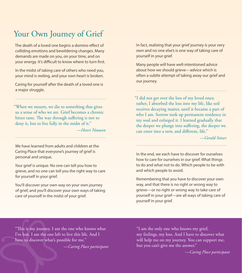#### Your Own Journey of Grief

The death of a loved one begins a domino effect of colliding emotions and bewildering changes. Many demands are made on you, on your time, and on your energy. It's difficult to know where to turn first.

In the midst of taking care of others who need you, your mind is reeling, and your own heart is broken.

Caring for yourself after the death of a loved one is a major struggle.

"When we mourn, we die to something that gives us a sense of who we are. Grief becomes a chronic bitter taste. The way through suffering is not to deny it, but to live fully in the midst of it."

*—Henri Nouwen*

We have learned from adults and children at the Caring Place that everyone's journey of grief is personal and unique.

*Your* grief is unique. No one can tell you how to grieve, and no one can tell you the right way to care for yourself in your grief.

You'll discover your own way on your own journey of grief, and you'll discover your own ways of taking care of yourself in the midst of your grief.

In fact, realizing that your grief journey is your very own and no one else's is one way of taking care of yourself in your grief.

Many people will have well-intentioned advice about how we should grieve—advice which is often a subtle attempt of taking away our grief and our journey.

"I did not get over the loss of my loved ones; rather, I absorbed the loss into my life, like soil receives decaying matter, until it became a part of who I am. Sorrow took up permanent residence in my soul and enlarged it. I learned gradually that the deeper we plunge into suffering, the deeper we can enter into a new, and different, life."

*—Gerald Sittser*

In the end, we each have to discover for ourselves how to care for ourselves in our grief. What things to do and what not to do. Which people to be with and which people to avoid.

Remembering that you have to discover your own way, and that there is no right or wrong way to grieve—or no right or wrong way to take care of yourself in your grief—are all ways of taking care of yourself in your grief.

"This is my journey. I am the one who knows what I've lost. I am the one left to live this life. And I have to discover what's possible for me."

*—Caring Place participant*

"I am the only one who knows my grief, my feelings, my loss. And I have to discover what will help me on my journey. You can support me, but you can't give me the answer."

*—Caring Place participant*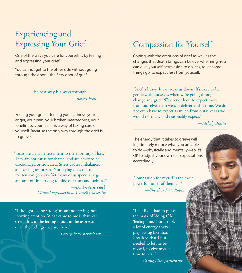## Experiencing and Expressing Your Grief

One of the ways you care for yourself is by feeling and expressing your grief.

You cannot get to the other side without going through the door—the fiery door of grief.

> "The best way is always through." *—Robert Frost*

Feeling your grief—feeling your sadness, your anger, your pain, your broken-heartedness, your loneliness, your fear—is a way of taking care of yourself. Because the only way through the grief is to grieve.

"Tears are a visible testament to the enormity of loss. They are not cause for shame, and are never to be discouraged or ridiculed. Stress causes imbalance, and crying restores it. Not crying does not make the tension go away. Yet many of us spend a large amount of time trying to hide our tears and sadness."

> *—Dr. Frederic Flach Clinical Psychologist at Cornell University*

"I thought 'being strong' meant not crying, not showing emotion. What came to me is that real strength is in the letting it out, in the expressing of all the feelings that are there."

*—Caring Place participant*

#### Compassion for Yourself

Coping with the emotions of grief as well as the changes that death brings can be overwhelming. You can give yourself permission to do less, to let some things go, to expect less from yourself.

"Grief is heavy. It can wear us down. It's okay to be gentle with ourselves when we're going through change and grief. We do not have to expect more from ourselves than we can deliver at this time. We do not even have to expect as much from ourselves as we would normally and reasonably expect."

*—Melody Beattie*

The energy that it takes to grieve will legitimately reduce what you are able to do—physically and mentally—so it's OK to adjust your own self-expectations accordingly.

"Compassion for myself is the most powerful healer of them all." *—Theodore Isaac Rubin* 

"I felt like I had to put on the mask of 'doing OK,' 'feeling fine.' But it took a lot of energy always play-acting like that. I realized that I just needed to let me be myself, to give myself time to heal."

*—Caring Place participant*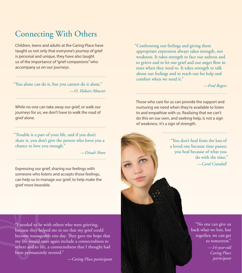### Connecting With Others

Children, teens and adults at the Caring Place have taught us not only that everyone's journey of grief is personal and unique, they have also taught us of the importance of "grief companions" who accompany us on our journeys.

"You alone can do it, but you cannot do it alone." *—O. Hobart Mowrer*

While no one can take away our grief, or walk our journeys for us, we don't have to walk the road of grief alone.

"Trouble is a part of your life, and if you don't share it, you don't give the person who loves you a chance to love you enough."

*—Dinah Shore*

Expressing our grief, sharing our feelings with someone who listens and accepts those feelings, can help us to manage our grief, to help make the grief more bearable.

"Confronting our feelings and giving them appropriate expression always takes strength, not weakness. It takes strength to face our sadness and to grieve and to let our grief and our anger flow in tears when they need to. It takes strength to talk about our feelings and to reach out for help and comfort when we need it."

*—Fred Rogers*

Those who care for us can provide the support and nurturing we need when they're available to listen to and empathize with us. Realizing that we can't do this on our own, and seeking help, is not a sign of weakness. It's a sign of strength.



"You don't heal from the loss of a loved one because time passes; you heal because of what you do with the time." *—Carol Crandall*

"I needed to be with others who were grieving, because they helped me to see that my grief could become manageable one day. They gave me hope that my life would once again include a connectedness to others and to life, a connectedness that I thought had been permanently severed."

*—Caring Place participant*

"No one can give us back what we lost, but together, we can get to tomorrow." *—14-year-old Caring Place participant*